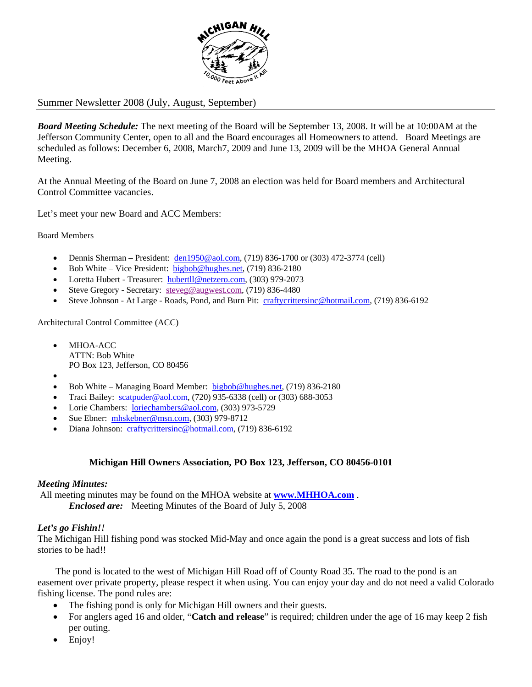

# Summer Newsletter 2008 (July, August, September)

*Board Meeting Schedule:* The next meeting of the Board will be September 13, 2008. It will be at 10:00AM at the Jefferson Community Center, open to all and the Board encourages all Homeowners to attend. Board Meetings are scheduled as follows: December 6, 2008, March7, 2009 and June 13, 2009 will be the MHOA General Annual Meeting.

At the Annual Meeting of the Board on June 7, 2008 an election was held for Board members and Architectural Control Committee vacancies.

Let's meet your new Board and ACC Members:

Board Members

- Dennis Sherman President:  $\frac{\text{den1950@aol.com}}{\text{den1950@aol.com}}$  (719) 836-1700 or (303) 472-3774 (cell)
- Bob White Vice President: bigbob@hughes.net, (719) 836-2180
- Loretta Hubert Treasurer: hubertll@netzero.com, (303) 979-2073
- Steve Gregory Secretary: steveg@augwest.com, (719) 836-4480
- Steve Johnson At Large Roads, Pond, and Burn Pit: craftycrittersinc@hotmail.com, (719) 836-6192

Architectural Control Committee (ACC)

- MHOA-ACC ATTN: Bob White PO Box 123, Jefferson, CO 80456
- •
- Bob White Managing Board Member: bigbob@hughes.net, (719) 836-2180
- Traci Bailey: scatpuder@aol.com,  $(720)$  935-6338 (cell) or  $(303)$  688-3053
- Lorie Chambers: loriechambers@aol.com, (303) 973-5729
- Sue Ebner: mhskebner@msn.com, (303) 979-8712
- Diana Johnson: craftycrittersinc@hotmail.com, (719) 836-6192

### **Michigan Hill Owners Association, PO Box 123, Jefferson, CO 80456-0101**

### *Meeting Minutes:*

All meeting minutes may be found on the MHOA website at **www.MHHOA.com** .  *Enclosed are:* Meeting Minutes of the Board of July 5, 2008

### *Let's go Fishin!!*

The Michigan Hill fishing pond was stocked Mid-May and once again the pond is a great success and lots of fish stories to be had!!

The pond is located to the west of Michigan Hill Road off of County Road 35. The road to the pond is an easement over private property, please respect it when using. You can enjoy your day and do not need a valid Colorado fishing license. The pond rules are:

- The fishing pond is only for Michigan Hill owners and their guests.
- For anglers aged 16 and older, "**Catch and release**" is required; children under the age of 16 may keep 2 fish per outing.
- Enjoy!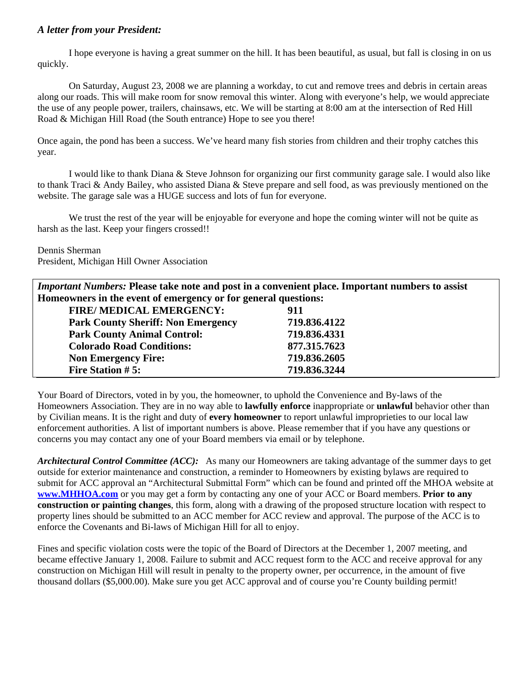# *A letter from your President:*

 I hope everyone is having a great summer on the hill. It has been beautiful, as usual, but fall is closing in on us quickly.

On Saturday, August 23, 2008 we are planning a workday, to cut and remove trees and debris in certain areas along our roads. This will make room for snow removal this winter. Along with everyone's help, we would appreciate the use of any people power, trailers, chainsaws, etc. We will be starting at 8:00 am at the intersection of Red Hill Road & Michigan Hill Road (the South entrance) Hope to see you there!

Once again, the pond has been a success. We've heard many fish stories from children and their trophy catches this year.

I would like to thank Diana & Steve Johnson for organizing our first community garage sale. I would also like to thank Traci & Andy Bailey, who assisted Diana & Steve prepare and sell food, as was previously mentioned on the website. The garage sale was a HUGE success and lots of fun for everyone.

We trust the rest of the year will be enjoyable for everyone and hope the coming winter will not be quite as harsh as the last. Keep your fingers crossed!!

Dennis Sherman

President, Michigan Hill Owner Association

*Important Numbers:* **Please take note and post in a convenient place. Important numbers to assist Homeowners in the event of emergency or for general questions:** 

| FIRE/ MEDICAL EMERGENCY:                  | 911          |
|-------------------------------------------|--------------|
| <b>Park County Sheriff: Non Emergency</b> | 719.836.4122 |
| <b>Park County Animal Control:</b>        | 719.836.4331 |
| <b>Colorado Road Conditions:</b>          | 877.315.7623 |
| <b>Non Emergency Fire:</b>                | 719.836.2605 |
| <b>Fire Station #5:</b>                   | 719.836.3244 |

Your Board of Directors, voted in by you, the homeowner, to uphold the Convenience and By-laws of the Homeowners Association. They are in no way able to **lawfully enforce** inappropriate or **unlawful** behavior other than by Civilian means. It is the right and duty of **every homeowner** to report unlawful improprieties to our local law enforcement authorities. A list of important numbers is above. Please remember that if you have any questions or concerns you may contact any one of your Board members via email or by telephone.

*Architectural Control Committee (ACC):* As many our Homeowners are taking advantage of the summer days to get outside for exterior maintenance and construction, a reminder to Homeowners by existing bylaws are required to submit for ACC approval an "Architectural Submittal Form" which can be found and printed off the MHOA website at **www.MHHOA.com** or you may get a form by contacting any one of your ACC or Board members. **Prior to any construction or painting changes**, this form, along with a drawing of the proposed structure location with respect to property lines should be submitted to an ACC member for ACC review and approval. The purpose of the ACC is to enforce the Covenants and Bi-laws of Michigan Hill for all to enjoy.

Fines and specific violation costs were the topic of the Board of Directors at the December 1, 2007 meeting, and became effective January 1, 2008. Failure to submit and ACC request form to the ACC and receive approval for any construction on Michigan Hill will result in penalty to the property owner, per occurrence, in the amount of five thousand dollars (\$5,000.00). Make sure you get ACC approval and of course you're County building permit!